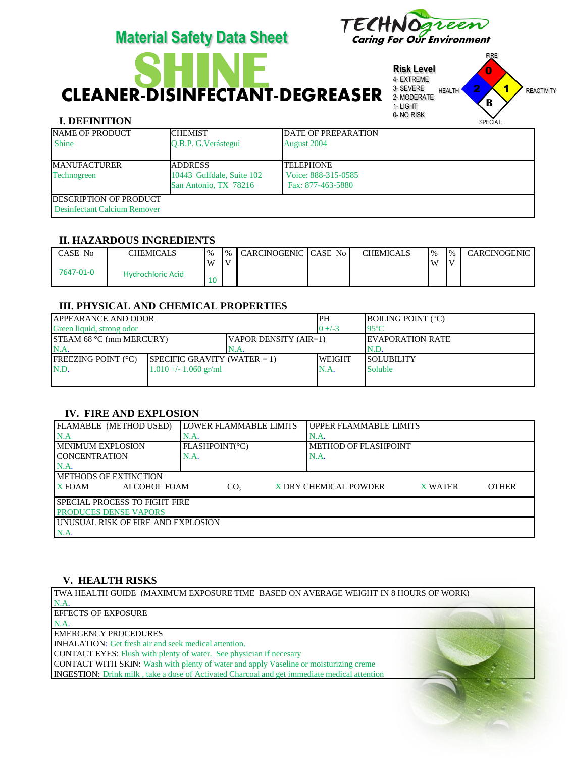# **SHEARER-DISINFECTANT-DEGREASER** SEVERE HEALTH PRINT **Risk Level** 4- EXTREME 3- SEVERE 2- MODERATE

**Material Safety Data Sheet** 

## **I. DEFINITION**

1- LIGHT 0- NO RISK HEALTH **2 1** REACTIVITY SPECIA L **B**

FIRE

1

0

2

reen

| <b>NAME OF PRODUCT</b><br><b>Shine</b>                        | <b>CHEMIST</b><br>O.B.P. G. Verástegui                                | <b>DATE OF PREPARATION</b><br>August 2004                     |
|---------------------------------------------------------------|-----------------------------------------------------------------------|---------------------------------------------------------------|
| <b>MANUFACTURER</b><br>Technogreen                            | <b>JADDRESS</b><br>10443 Gulfdale, Suite 102<br>San Antonio, TX 78216 | <b>ITELEPHONE</b><br>Voice: 888-315-0585<br>Fax: 877-463-5880 |
| <b>DESCRIPTION OF PRODUCT</b><br>Desinfectant Calcium Remover |                                                                       |                                                               |

#### **II. HAZARDOUS INGREDIENTS**

| CASE No   | <b>CHEMICALS</b>         | $\frac{0}{0}$ | $\frac{9}{6}$ | I CARCINOGENIC CASE No I | <b>CHEMICALS</b> | $\frac{10}{6}$ | $\frac{9}{6}$ | CARCINOGENIC |
|-----------|--------------------------|---------------|---------------|--------------------------|------------------|----------------|---------------|--------------|
| 7647-01-0 | <b>Hydrochloric Acid</b> | W             | l V           |                          |                  | W              | I٧            |              |
|           |                          |               |               |                          |                  |                |               |              |

#### **III. PHYSICAL AND CHEMICAL PROPERTIES**

| <b>JAPPEARANCE AND ODOR</b>     |                                 | IPH                   | <b>BOILING POINT (°C)</b> |                          |  |
|---------------------------------|---------------------------------|-----------------------|---------------------------|--------------------------|--|
| Green liquid, strong odor       |                                 | $0 + (-3)$            | $95^{\circ}$ C            |                          |  |
| <b>STEAM 68 °C (mm MERCURY)</b> |                                 | VAPOR DENSITY (AIR=1) |                           | <b>IEVAPORATION RATE</b> |  |
| N.A                             |                                 | N.A                   |                           | N.D.                     |  |
| <b>FREEZING POINT (°C)</b>      | SPECIFIC GRAVITY (WATER $= 1$ ) |                       | <b>WEIGHT</b>             | <b>SOLUBILITY</b>        |  |
| N.D.                            | $1.010 +/- 1.060$ gr/ml         |                       | N.A.                      | <b>Soluble</b>           |  |
|                                 |                                 |                       |                           |                          |  |

## **IV. FIRE AND EXPLOSION**

| FLAMABLE (METHOD USED)                                                                                      | <b>LOWER FLAMMABLE LIMITS</b> | UPPER FLAMMABLE LIMITS |  |  |  |  |
|-------------------------------------------------------------------------------------------------------------|-------------------------------|------------------------|--|--|--|--|
| N.A                                                                                                         | IN.A.                         | N.A.                   |  |  |  |  |
| MINIMUM EXPLOSION                                                                                           | FLASHPOINT(°C)                | METHOD OF FLASHPOINT   |  |  |  |  |
| ICONCENTRATION                                                                                              | N.A.                          | N.A.                   |  |  |  |  |
| N.A.                                                                                                        |                               |                        |  |  |  |  |
| <b>IMETHODS OF EXTINCTION</b>                                                                               |                               |                        |  |  |  |  |
| X DRY CHEMICAL POWDER<br><b>OTHER</b><br><b>X FOAM</b><br>ALCOHOL FOAM<br>CO <sub>2</sub><br><b>X WATER</b> |                               |                        |  |  |  |  |
| SPECIAL PROCESS TO FIGHT FIRE                                                                               |                               |                        |  |  |  |  |
| <b>PRODUCES DENSE VAPORS</b>                                                                                |                               |                        |  |  |  |  |
| IUNUSUAL RISK OF FIRE AND EXPLOSION                                                                         |                               |                        |  |  |  |  |
| N.A.                                                                                                        |                               |                        |  |  |  |  |

#### **V. HEALTH RISKS**

TWA HEALTH GUIDE (MAXIMUM EXPOSURE TIME BASED ON AVERAGE WEIGHT IN 8 HOURS OF WORK) N.A. EFFECTS OF EXPOSURE N.A. EMERGENCY PROCEDURES INHALATION: Get fresh air and seek medical attention. CONTACT EYES: Flush with plenty of water. See physician if necesary CONTACT WITH SKIN: Wash with plenty of water and apply Vaseline or moisturizing creme INGESTION: Drink milk , take a dose of Activated Charcoal and get immediate medical attention